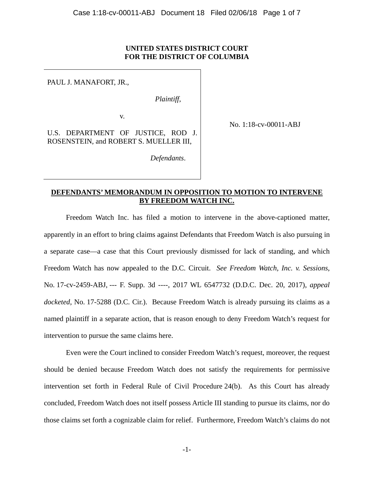## **UNITED STATES DISTRICT COURT FOR THE DISTRICT OF COLUMBIA**

PAUL J. MANAFORT, JR.,

*Plaintiff*,

 *Defendants*.

v.

U.S. DEPARTMENT OF JUSTICE, ROD J. ROSENSTEIN, and ROBERT S. MUELLER III,

No. 1:18-cv-00011-ABJ

# **DEFENDANTS' MEMORANDUM IN OPPOSITION TO MOTION TO INTERVENE BY FREEDOM WATCH INC.**

Freedom Watch Inc. has filed a motion to intervene in the above-captioned matter, apparently in an effort to bring claims against Defendants that Freedom Watch is also pursuing in a separate case—a case that this Court previously dismissed for lack of standing, and which Freedom Watch has now appealed to the D.C. Circuit. *See Freedom Watch, Inc. v. Sessions*, No. 17-cv-2459-ABJ, --- F. Supp. 3d ----, 2017 WL 6547732 (D.D.C. Dec. 20, 2017), *appeal docketed*, No. 17-5288 (D.C. Cir.). Because Freedom Watch is already pursuing its claims as a named plaintiff in a separate action, that is reason enough to deny Freedom Watch's request for intervention to pursue the same claims here.

Even were the Court inclined to consider Freedom Watch's request, moreover, the request should be denied because Freedom Watch does not satisfy the requirements for permissive intervention set forth in Federal Rule of Civil Procedure 24(b). As this Court has already concluded, Freedom Watch does not itself possess Article III standing to pursue its claims, nor do those claims set forth a cognizable claim for relief. Furthermore, Freedom Watch's claims do not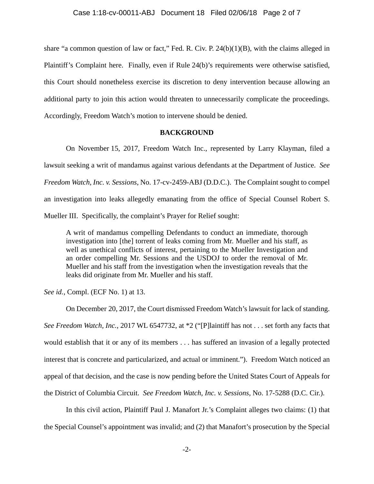share "a common question of law or fact," Fed. R. Civ. P. 24(b)(1)(B), with the claims alleged in Plaintiff's Complaint here. Finally, even if Rule 24(b)'s requirements were otherwise satisfied, this Court should nonetheless exercise its discretion to deny intervention because allowing an additional party to join this action would threaten to unnecessarily complicate the proceedings. Accordingly, Freedom Watch's motion to intervene should be denied.

#### **BACKGROUND**

On November 15, 2017, Freedom Watch Inc., represented by Larry Klayman, filed a lawsuit seeking a writ of mandamus against various defendants at the Department of Justice. *See Freedom Watch, Inc. v. Sessions*, No. 17-cv-2459-ABJ (D.D.C.). The Complaint sought to compel an investigation into leaks allegedly emanating from the office of Special Counsel Robert S. Mueller III. Specifically, the complaint's Prayer for Relief sought:

A writ of mandamus compelling Defendants to conduct an immediate, thorough investigation into [the] torrent of leaks coming from Mr. Mueller and his staff, as well as unethical conflicts of interest, pertaining to the Mueller Investigation and an order compelling Mr. Sessions and the USDOJ to order the removal of Mr. Mueller and his staff from the investigation when the investigation reveals that the leaks did originate from Mr. Mueller and his staff.

*See id.*, Compl. (ECF No. 1) at 13.

On December 20, 2017, the Court dismissed Freedom Watch's lawsuit for lack of standing. *See Freedom Watch, Inc.*, 2017 WL 6547732, at \*2 ("[P]laintiff has not . . . set forth any facts that would establish that it or any of its members . . . has suffered an invasion of a legally protected interest that is concrete and particularized, and actual or imminent."). Freedom Watch noticed an appeal of that decision, and the case is now pending before the United States Court of Appeals for the District of Columbia Circuit. *See Freedom Watch, Inc. v. Sessions*, No. 17-5288 (D.C. Cir.).

In this civil action, Plaintiff Paul J. Manafort Jr.'s Complaint alleges two claims: (1) that the Special Counsel's appointment was invalid; and (2) that Manafort's prosecution by the Special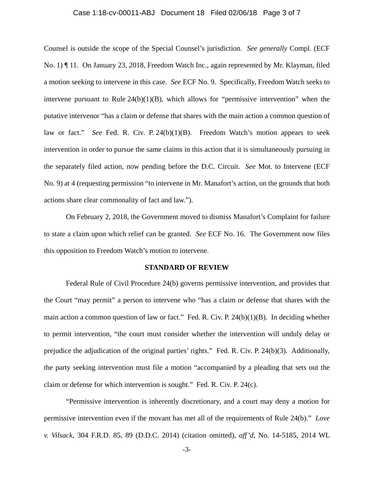#### Case 1:18-cv-00011-ABJ Document 18 Filed 02/06/18 Page 3 of 7

Counsel is outside the scope of the Special Counsel's jurisdiction. *See generally* Compl. (ECF No. 1) ¶ 11. On January 23, 2018, Freedom Watch Inc., again represented by Mr. Klayman, filed a motion seeking to intervene in this case. *See* ECF No. 9. Specifically, Freedom Watch seeks to intervene pursuant to Rule  $24(b)(1)(B)$ , which allows for "permissive intervention" when the putative intervenor "has a claim or defense that shares with the main action a common question of law or fact." *See* Fed. R. Civ. P. 24(b)(1)(B). Freedom Watch's motion appears to seek intervention in order to pursue the same claims in this action that it is simultaneously pursuing in the separately filed action, now pending before the D.C. Circuit. *See* Mot. to Intervene (ECF No. 9) at 4 (requesting permission "to intervene in Mr. Manafort's action, on the grounds that both actions share clear commonality of fact and law.").

On February 2, 2018, the Government moved to dismiss Manafort's Complaint for failure to state a claim upon which relief can be granted. *See* ECF No. 16. The Government now files this opposition to Freedom Watch's motion to intervene.

#### **STANDARD OF REVIEW**

Federal Rule of Civil Procedure 24(b) governs permissive intervention, and provides that the Court "may permit" a person to intervene who "has a claim or defense that shares with the main action a common question of law or fact." Fed. R. Civ. P. 24(b)(1)(B). In deciding whether to permit intervention, "the court must consider whether the intervention will unduly delay or prejudice the adjudication of the original parties' rights." Fed. R. Civ. P. 24(b)(3). Additionally, the party seeking intervention must file a motion "accompanied by a pleading that sets out the claim or defense for which intervention is sought." Fed. R. Civ. P. 24(c).

"Permissive intervention is inherently discretionary, and a court may deny a motion for permissive intervention even if the movant has met all of the requirements of Rule 24(b)." *Love v. Vilsack*, 304 F.R.D. 85, 89 (D.D.C. 2014) (citation omitted), *aff'd*, No. 14-5185, 2014 WL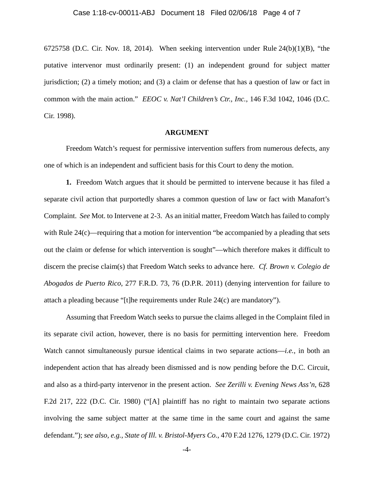6725758 (D.C. Cir. Nov. 18, 2014). When seeking intervention under Rule  $24(b)(1)(B)$ , "the putative intervenor must ordinarily present: (1) an independent ground for subject matter jurisdiction; (2) a timely motion; and (3) a claim or defense that has a question of law or fact in common with the main action." *EEOC v. Nat'l Children's Ctr., Inc.*, 146 F.3d 1042, 1046 (D.C. Cir. 1998).

#### **ARGUMENT**

Freedom Watch's request for permissive intervention suffers from numerous defects, any one of which is an independent and sufficient basis for this Court to deny the motion.

**1.** Freedom Watch argues that it should be permitted to intervene because it has filed a separate civil action that purportedly shares a common question of law or fact with Manafort's Complaint. *See* Mot. to Intervene at 2-3. As an initial matter, Freedom Watch has failed to comply with Rule  $24(c)$ —requiring that a motion for intervention "be accompanied by a pleading that sets out the claim or defense for which intervention is sought"—which therefore makes it difficult to discern the precise claim(s) that Freedom Watch seeks to advance here. *Cf. Brown v. Colegio de Abogados de Puerto Rico*, 277 F.R.D. 73, 76 (D.P.R. 2011) (denying intervention for failure to attach a pleading because "[t]he requirements under Rule 24(c) are mandatory").

Assuming that Freedom Watch seeks to pursue the claims alleged in the Complaint filed in its separate civil action, however, there is no basis for permitting intervention here. Freedom Watch cannot simultaneously pursue identical claims in two separate actions—*i.e.*, in both an independent action that has already been dismissed and is now pending before the D.C. Circuit, and also as a third-party intervenor in the present action. *See Zerilli v. Evening News Ass'n*, 628 F.2d 217, 222 (D.C. Cir. 1980) ("[A] plaintiff has no right to maintain two separate actions involving the same subject matter at the same time in the same court and against the same defendant."); *see also, e.g.*, *State of Ill. v. Bristol-Myers Co.*, 470 F.2d 1276, 1279 (D.C. Cir. 1972)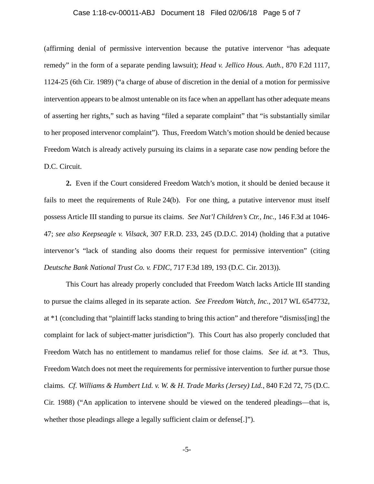#### Case 1:18-cv-00011-ABJ Document 18 Filed 02/06/18 Page 5 of 7

(affirming denial of permissive intervention because the putative intervenor "has adequate remedy" in the form of a separate pending lawsuit); *Head v. Jellico Hous. Auth.*, 870 F.2d 1117, 1124-25 (6th Cir. 1989) ("a charge of abuse of discretion in the denial of a motion for permissive intervention appears to be almost untenable on its face when an appellant has other adequate means of asserting her rights," such as having "filed a separate complaint" that "is substantially similar to her proposed intervenor complaint"). Thus, Freedom Watch's motion should be denied because Freedom Watch is already actively pursuing its claims in a separate case now pending before the D.C. Circuit.

**2.** Even if the Court considered Freedom Watch's motion, it should be denied because it fails to meet the requirements of Rule 24(b). For one thing, a putative intervenor must itself possess Article III standing to pursue its claims. *See Nat'l Children's Ctr., Inc.*, 146 F.3d at 1046- 47; *see also Keepseagle v. Vilsack*, 307 F.R.D. 233, 245 (D.D.C. 2014) (holding that a putative intervenor's "lack of standing also dooms their request for permissive intervention" (citing *Deutsche Bank National Trust Co. v. FDIC*, 717 F.3d 189, 193 (D.C. Cir. 2013)).

This Court has already properly concluded that Freedom Watch lacks Article III standing to pursue the claims alleged in its separate action. *See Freedom Watch, Inc.*, 2017 WL 6547732, at \*1 (concluding that "plaintiff lacks standing to bring this action" and therefore "dismiss[ing] the complaint for lack of subject-matter jurisdiction"). This Court has also properly concluded that Freedom Watch has no entitlement to mandamus relief for those claims. *See id.* at \*3. Thus, Freedom Watch does not meet the requirements for permissive intervention to further pursue those claims. *Cf. Williams & Humbert Ltd. v. W. & H. Trade Marks (Jersey) Ltd.*, 840 F.2d 72, 75 (D.C. Cir. 1988) ("An application to intervene should be viewed on the tendered pleadings—that is, whether those pleadings allege a legally sufficient claim or defense.[1].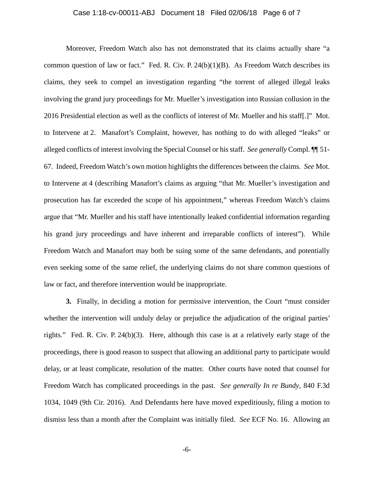#### Case 1:18-cv-00011-ABJ Document 18 Filed 02/06/18 Page 6 of 7

Moreover, Freedom Watch also has not demonstrated that its claims actually share "a common question of law or fact." Fed. R. Civ. P.  $24(b)(1)(B)$ . As Freedom Watch describes its claims, they seek to compel an investigation regarding "the torrent of alleged illegal leaks involving the grand jury proceedings for Mr. Mueller's investigation into Russian collusion in the 2016 Presidential election as well as the conflicts of interest of Mr. Mueller and his staff[.]" Mot. to Intervene at 2. Manafort's Complaint, however, has nothing to do with alleged "leaks" or alleged conflicts of interest involving the Special Counsel or his staff. *See generally* Compl. ¶¶ 51- 67. Indeed, Freedom Watch's own motion highlights the differences between the claims. *See* Mot. to Intervene at 4 (describing Manafort's claims as arguing "that Mr. Mueller's investigation and prosecution has far exceeded the scope of his appointment," whereas Freedom Watch's claims argue that "Mr. Mueller and his staff have intentionally leaked confidential information regarding his grand jury proceedings and have inherent and irreparable conflicts of interest"). While Freedom Watch and Manafort may both be suing some of the same defendants, and potentially even seeking some of the same relief, the underlying claims do not share common questions of law or fact, and therefore intervention would be inappropriate.

**3.** Finally, in deciding a motion for permissive intervention, the Court "must consider whether the intervention will unduly delay or prejudice the adjudication of the original parties' rights." Fed. R. Civ. P. 24(b)(3). Here, although this case is at a relatively early stage of the proceedings, there is good reason to suspect that allowing an additional party to participate would delay, or at least complicate, resolution of the matter. Other courts have noted that counsel for Freedom Watch has complicated proceedings in the past. *See generally In re Bundy*, 840 F.3d 1034, 1049 (9th Cir. 2016). And Defendants here have moved expeditiously, filing a motion to dismiss less than a month after the Complaint was initially filed. *See* ECF No. 16. Allowing an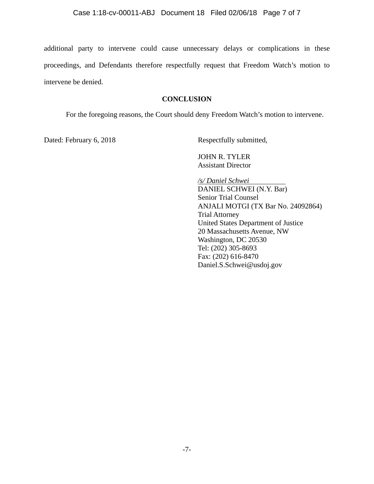additional party to intervene could cause unnecessary delays or complications in these proceedings, and Defendants therefore respectfully request that Freedom Watch's motion to intervene be denied.

## **CONCLUSION**

For the foregoing reasons, the Court should deny Freedom Watch's motion to intervene.

Dated: February 6, 2018 Respectfully submitted,

 JOHN R. TYLER Assistant Director

*/s/ Daniel Schwei*  DANIEL SCHWEI (N.Y. Bar) Senior Trial Counsel ANJALI MOTGI (TX Bar No. 24092864) Trial Attorney United States Department of Justice 20 Massachusetts Avenue, NW Washington, DC 20530 Tel: (202) 305-8693 Fax: (202) 616-8470 Daniel.S.Schwei@usdoj.gov